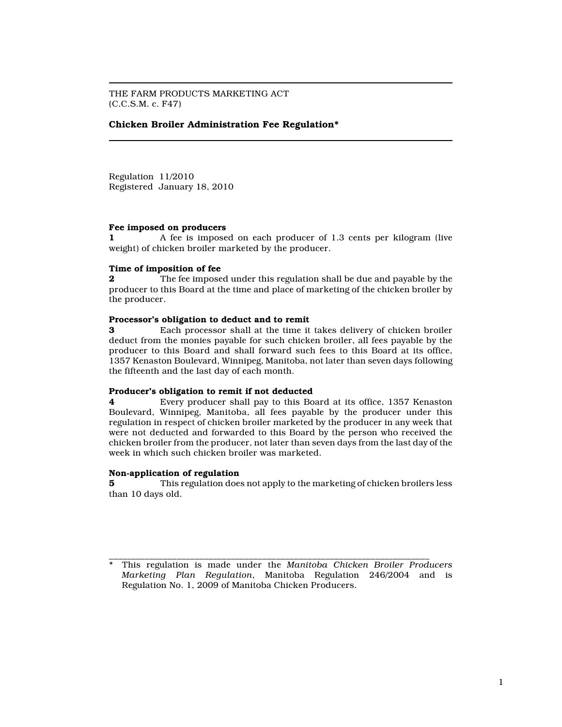THE FARM PRODUCTS MARKETING ACT (C.C.S.M. c. F47)

# Chicken Broiler Administration Fee Regulation\*

Regulation 11/2010 Registered January 18, 2010

### Fee imposed on producers

1 A fee is imposed on each producer of 1.3 cents per kilogram (live weight) of chicken broiler marketed by the producer.

# Time of imposition of fee

**2** The fee imposed under this regulation shall be due and payable by the producer to this Board at the time and place of marketing of the chicken broiler by the producer.

#### Processor's obligation to deduct and to remit

3 Each processor shall at the time it takes delivery of chicken broiler deduct from the monies payable for such chicken broiler, all fees payable by the producer to this Board and shall forward such fees to this Board at its office, 1357 Kenaston Boulevard, Winnipeg, Manitoba, not later than seven days following the fifteenth and the last day of each month.

## Producer's obligation to remit if not deducted

4 Every producer shall pay to this Board at its office, 1357 Kenaston Boulevard, Winnipeg, Manitoba, all fees payable by the producer under this regulation in respect of chicken broiler marketed by the producer in any week that were not deducted and forwarded to this Board by the person who received the chicken broiler from the producer, not later than seven days from the last day of the week in which such chicken broiler was marketed.

#### Non-application of regulation

5 This regulation does not apply to the marketing of chicken broilers less than 10 days old.

\_\_\_\_\_\_\_\_\_\_\_\_\_\_\_\_\_\_\_\_\_\_\_\_\_\_\_\_\_\_\_\_\_\_\_\_\_\_\_\_\_\_\_\_\_\_\_\_\_\_\_\_\_\_\_\_\_\_\_\_\_\_\_\_\_\_\_\_\_\_\_ \* This regulation is made under the Manitoba Chicken Broiler Producers Marketing Plan Regulation, Manitoba Regulation 246/2004 and is Regulation No. 1, 2009 of Manitoba Chicken Producers.